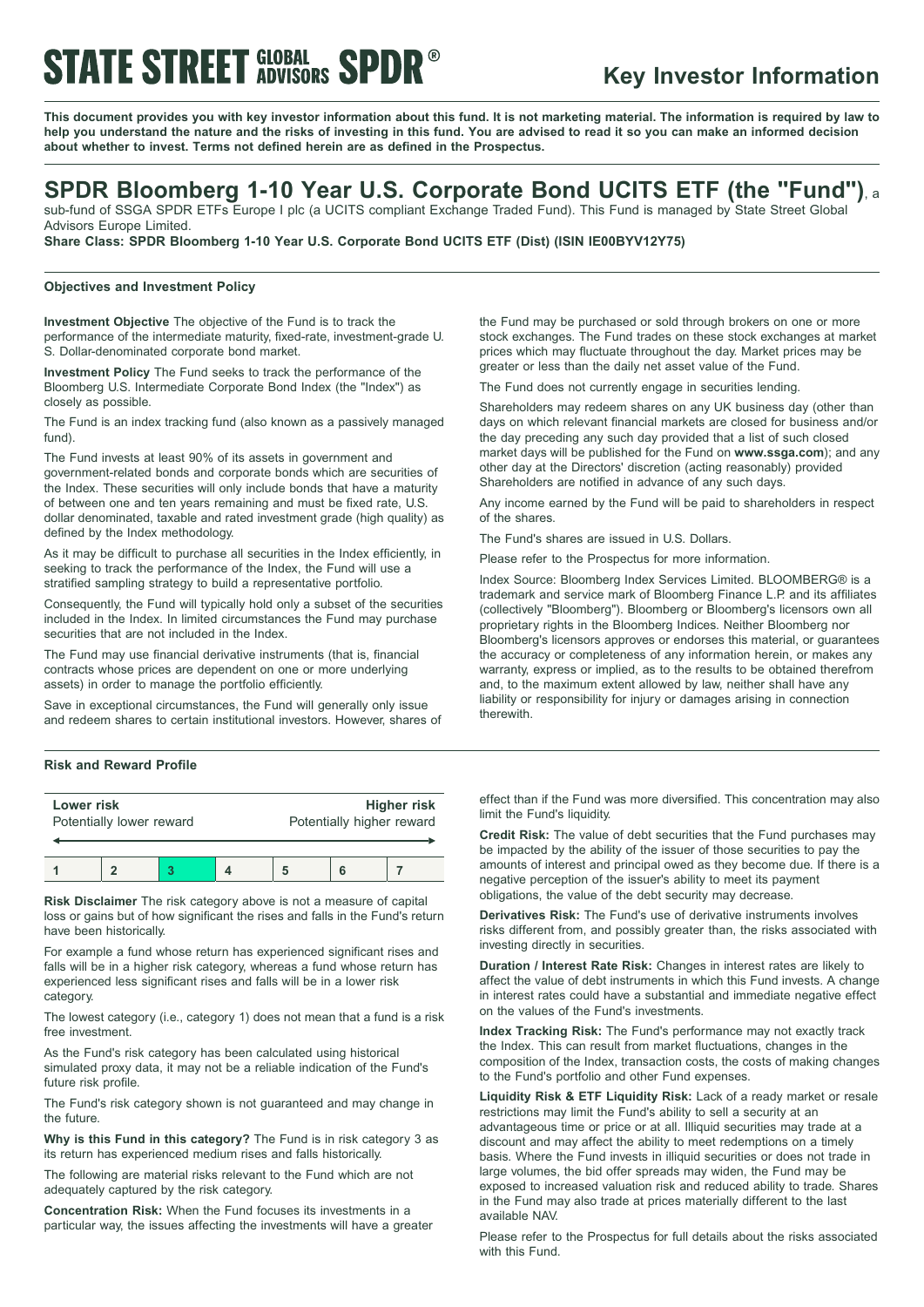# **STATE STREET GLOBAL SPDR®**

## **Key Investor Information**

This document provides you with key investor information about this fund. It is not marketing material. The information is required by law to help you understand the nature and the risks of investing in this fund. You are advised to read it so you can make an informed decision **about whether to invest. Terms not defined herein are as defined in the Prospectus.**

# **SPDR Bloomberg 1-10 Year U.S. Corporate Bond UCITS ETF (the "Fund")**, <sup>a</sup>

sub-fund of SSGA SPDR ETFs Europe I plc (a UCITS compliant Exchange Traded Fund). This Fund is managed by State Street Global Advisors Europe Limited.

**Share Class: SPDR Bloomberg 1-10 Year U.S. Corporate Bond UCITS ETF (Dist) (ISIN IE00BYV12Y75)**

### **Objectives and Investment Policy**

**Investment Objective** The objective of the Fund is to track the performance of the intermediate maturity, fixed-rate, investment-grade U. S. Dollar-denominated corporate bond market.

**Investment Policy** The Fund seeks to track the performance of the Bloomberg U.S. Intermediate Corporate Bond Index (the "Index") as closely as possible.

The Fund is an index tracking fund (also known as a passively managed fund).

The Fund invests at least 90% of its assets in government and government-related bonds and corporate bonds which are securities of the Index. These securities will only include bonds that have a maturity of between one and ten years remaining and must be fixed rate, U.S. dollar denominated, taxable and rated investment grade (high quality) as defined by the Index methodology.

As it may be difficult to purchase all securities in the Index efficiently, in seeking to track the performance of the Index, the Fund will use a stratified sampling strategy to build a representative portfolio.

Consequently, the Fund will typically hold only a subset of the securities included in the Index. In limited circumstances the Fund may purchase securities that are not included in the Index.

The Fund may use financial derivative instruments (that is, financial contracts whose prices are dependent on one or more underlying assets) in order to manage the portfolio efficiently.

Save in exceptional circumstances, the Fund will generally only issue and redeem shares to certain institutional investors. However, shares of

#### **Risk and Reward Profile**

| Lower risk<br>Potentially lower reward |  |  | <b>Higher risk</b><br>Potentially higher reward |  |  |
|----------------------------------------|--|--|-------------------------------------------------|--|--|
|                                        |  |  |                                                 |  |  |

**Risk Disclaimer** The risk category above is not a measure of capital loss or gains but of how significant the rises and falls in the Fund's return have been historically.

For example a fund whose return has experienced significant rises and falls will be in a higher risk category, whereas a fund whose return has experienced less significant rises and falls will be in a lower risk category.

The lowest category (i.e., category 1) does not mean that a fund is a risk free investment.

As the Fund's risk category has been calculated using historical simulated proxy data, it may not be a reliable indication of the Fund's future risk profile.

The Fund's risk category shown is not guaranteed and may change in the future.

**Why is this Fund in this category?** The Fund is in risk category 3 as its return has experienced medium rises and falls historically.

The following are material risks relevant to the Fund which are not adequately captured by the risk category.

**Concentration Risk:** When the Fund focuses its investments in a particular way, the issues affecting the investments will have a greater

the Fund may be purchased or sold through brokers on one or more stock exchanges. The Fund trades on these stock exchanges at market prices which may fluctuate throughout the day. Market prices may be greater or less than the daily net asset value of the Fund.

The Fund does not currently engage in securities lending.

Shareholders may redeem shares on any UK business day (other than days on which relevant financial markets are closed for business and/or the day preceding any such day provided that a list of such closed market days will be published for the Fund on **www.ssga.com**); and any other day at the Directors' discretion (acting reasonably) provided Shareholders are notified in advance of any such days.

Any income earned by the Fund will be paid to shareholders in respect of the shares.

The Fund's shares are issued in U.S. Dollars.

Please refer to the Prospectus for more information.

Index Source: Bloomberg Index Services Limited. BLOOMBERG® is a trademark and service mark of Bloomberg Finance L.P. and its affiliates (collectively "Bloomberg"). Bloomberg or Bloomberg's licensors own all proprietary rights in the Bloomberg Indices. Neither Bloomberg nor Bloomberg's licensors approves or endorses this material, or guarantees the accuracy or completeness of any information herein, or makes any warranty, express or implied, as to the results to be obtained therefrom and, to the maximum extent allowed by law, neither shall have any liability or responsibility for injury or damages arising in connection therewith.

effect than if the Fund was more diversified. This concentration may also limit the Fund's liquidity.

**Credit Risk:** The value of debt securities that the Fund purchases may be impacted by the ability of the issuer of those securities to pay the amounts of interest and principal owed as they become due. If there is a negative perception of the issuer's ability to meet its payment obligations, the value of the debt security may decrease.

**Derivatives Risk:** The Fund's use of derivative instruments involves risks different from, and possibly greater than, the risks associated with investing directly in securities.

**Duration / Interest Rate Risk:** Changes in interest rates are likely to affect the value of debt instruments in which this Fund invests. A change in interest rates could have a substantial and immediate negative effect on the values of the Fund's investments.

**Index Tracking Risk:** The Fund's performance may not exactly track the Index. This can result from market fluctuations, changes in the composition of the Index, transaction costs, the costs of making changes to the Fund's portfolio and other Fund expenses.

**Liquidity Risk & ETF Liquidity Risk:** Lack of a ready market or resale restrictions may limit the Fund's ability to sell a security at an advantageous time or price or at all. Illiquid securities may trade at a discount and may affect the ability to meet redemptions on a timely basis. Where the Fund invests in illiquid securities or does not trade in large volumes, the bid offer spreads may widen, the Fund may be exposed to increased valuation risk and reduced ability to trade. Shares in the Fund may also trade at prices materially different to the last available NAV.

Please refer to the Prospectus for full details about the risks associated with this Fund.